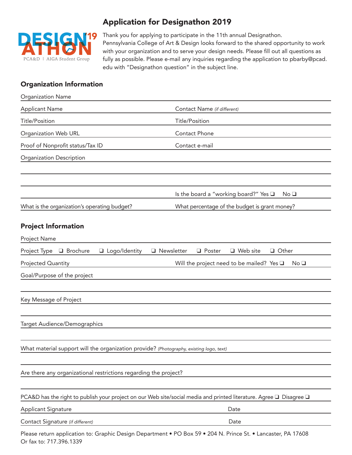

## Application for Designathon 2019

Thank you for applying to participate in the 11th annual Designathon. Pennsylvania College of Art & Design looks forward to the shared opportunity to work with your organization and to serve your design needs. Please fill out all questions as fully as possible. Please e-mail any inquiries regarding the application to pbarby@pcad. edu with "Designathon question" in the subject line.

## Organization Information

| <b>Organization Name</b>                                                                |                                                                                                                     |
|-----------------------------------------------------------------------------------------|---------------------------------------------------------------------------------------------------------------------|
| <b>Applicant Name</b>                                                                   | Contact Name (if different)                                                                                         |
| <b>Title/Position</b>                                                                   | <b>Title/Position</b>                                                                                               |
| Organization Web URL                                                                    | Contact Phone                                                                                                       |
| Proof of Nonprofit status/Tax ID                                                        | Contact e-mail                                                                                                      |
| <b>Organization Description</b>                                                         |                                                                                                                     |
|                                                                                         |                                                                                                                     |
|                                                                                         | Is the board a "working board?" Yes $\square$<br>No <sub>1</sub>                                                    |
| What is the organization's operating budget?                                            | What percentage of the budget is grant money?                                                                       |
| <b>Project Information</b><br>Project Name                                              |                                                                                                                     |
| □ Brochure<br>□ Logo/Identity<br>Project Type                                           | $\Box$ Newsletter<br><b>Q</b> Poster<br>$\Box$ Web site<br>Other                                                    |
| Projected Quantity                                                                      | Will the project need to be mailed? Yes $\square$<br>No <sub>1</sub>                                                |
| Goal/Purpose of the project                                                             |                                                                                                                     |
|                                                                                         |                                                                                                                     |
| Key Message of Project                                                                  |                                                                                                                     |
|                                                                                         |                                                                                                                     |
| Target Audience/Demographics                                                            |                                                                                                                     |
|                                                                                         |                                                                                                                     |
| What material support will the organization provide? (Photography, existing logo, text) |                                                                                                                     |
|                                                                                         |                                                                                                                     |
| Are there any organizational restrictions regarding the project?                        |                                                                                                                     |
|                                                                                         | PCA&D has the right to publish your project on our Web site/social media and printed literature. Agree □ Disagree □ |
| <b>Applicant Signature</b>                                                              | Date                                                                                                                |
| Contact Signature (if different)                                                        | Date                                                                                                                |
|                                                                                         | Please return application to: Graphic Design Department · PO Box 59 · 204 N. Prince St. · Lancaster, PA 17608       |

Or fax to: 717.396.1339